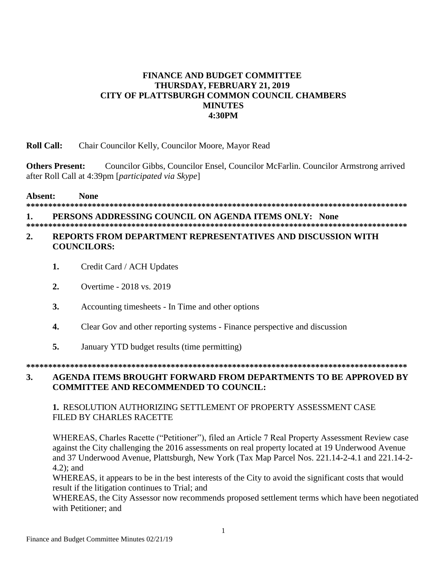## **FINANCE AND BUDGET COMMITTEE THURSDAY, FEBRUARY 21, 2019** CITY OF PLATTSBURGH COMMON COUNCIL CHAMBERS **MINUTES 4:30PM**

#### **Roll Call:** Chair Councilor Kelly, Councilor Moore, Mayor Read

**Others Present:** Councilor Gibbs, Councilor Ensel, Councilor McFarlin. Councilor Armstrong arrived after Roll Call at 4:39pm [participated via Skype]

Absent: **None** 

#### PERSONS ADDRESSING COUNCIL ON AGENDA ITEMS ONLY: None 1.

# 

#### REPORTS FROM DEPARTMENT REPRESENTATIVES AND DISCUSSION WITH  $2.$ **COUNCILORS:**

- Credit Card / ACH Updates  $\mathbf{1}$ .
- $2.$ Overtime - 2018 vs. 2019
- $3.$ Accounting timesheets - In Time and other options
- $\overline{4}$ . Clear Gov and other reporting systems - Finance perspective and discussion
- $5<sub>1</sub>$ January YTD budget results (time permitting)

#### $3.$ AGENDA ITEMS BROUGHT FORWARD FROM DEPARTMENTS TO BE APPROVED BY **COMMITTEE AND RECOMMENDED TO COUNCIL:**

#### 1. RESOLUTION AUTHORIZING SETTLEMENT OF PROPERTY ASSESSMENT CASE FILED BY CHARLES RACETTE

WHEREAS, Charles Racette ("Petitioner"), filed an Article 7 Real Property Assessment Review case against the City challenging the 2016 assessments on real property located at 19 Underwood Avenue and 37 Underwood Avenue, Plattsburgh, New York (Tax Map Parcel Nos. 221.14-2-4.1 and 221.14-2- $4.2$ : and

WHEREAS, it appears to be in the best interests of the City to avoid the significant costs that would result if the litigation continues to Trial; and

WHEREAS, the City Assessor now recommends proposed settlement terms which have been negotiated with Petitioner; and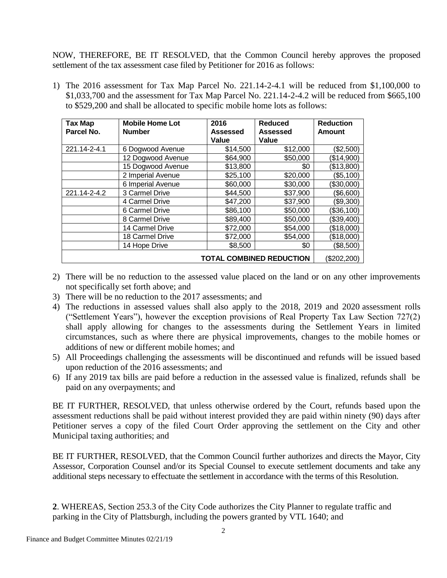NOW, THEREFORE, BE IT RESOLVED, that the Common Council hereby approves the proposed settlement of the tax assessment case filed by Petitioner for 2016 as follows:

1) The 2016 assessment for Tax Map Parcel No. 221.14-2-4.1 will be reduced from \$1,100,000 to \$1,033,700 and the assessment for Tax Map Parcel No. 221.14-2-4.2 will be reduced from \$665,100 to \$529,200 and shall be allocated to specific mobile home lots as follows:

| Tax Map                         | <b>Mobile Home Lot</b> | 2016     | <b>Reduced</b> | <b>Reduction</b> |
|---------------------------------|------------------------|----------|----------------|------------------|
| Parcel No.                      | <b>Number</b>          | Assessed | Assessed       | Amount           |
|                                 |                        | Value    | Value          |                  |
| 221.14-2-4.1                    | 6 Dogwood Avenue       | \$14,500 | \$12,000       | (\$2,500)        |
|                                 | 12 Dogwood Avenue      | \$64,900 | \$50,000       | (\$14,900)       |
|                                 | 15 Dogwood Avenue      | \$13,800 | \$0            | (\$13,800)       |
|                                 | 2 Imperial Avenue      | \$25,100 | \$20,000       | (\$5,100)        |
|                                 | 6 Imperial Avenue      | \$60,000 | \$30,000       | (\$30,000)       |
| 221.14-2-4.2                    | 3 Carmel Drive         | \$44,500 | \$37,900       | (\$6,600)        |
|                                 | 4 Carmel Drive         | \$47,200 | \$37,900       | (\$9,300)        |
|                                 | 6 Carmel Drive         | \$86,100 | \$50,000       | (\$36,100)       |
|                                 | 8 Carmel Drive         | \$89,400 | \$50,000       | (\$39,400)       |
|                                 | 14 Carmel Drive        | \$72,000 | \$54,000       | (\$18,000)       |
|                                 | 18 Carmel Drive        | \$72,000 | \$54,000       | (\$18,000)       |
|                                 | 14 Hope Drive          | \$8,500  | \$0            | (\$8,500)        |
| <b>TOTAL COMBINED REDUCTION</b> |                        |          |                | (\$202,200)      |

- 2) There will be no reduction to the assessed value placed on the land or on any other improvements not specifically set forth above; and
- 3) There will be no reduction to the 2017 assessments; and
- 4) The reductions in assessed values shall also apply to the 2018, 2019 and 2020 assessment rolls ("Settlement Years"), however the exception provisions of Real Property Tax Law Section 727(2) shall apply allowing for changes to the assessments during the Settlement Years in limited circumstances, such as where there are physical improvements, changes to the mobile homes or additions of new or different mobile homes; and
- 5) All Proceedings challenging the assessments will be discontinued and refunds will be issued based upon reduction of the 2016 assessments; and
- 6) If any 2019 tax bills are paid before a reduction in the assessed value is finalized, refunds shall be paid on any overpayments; and

BE IT FURTHER, RESOLVED, that unless otherwise ordered by the Court, refunds based upon the assessment reductions shall be paid without interest provided they are paid within ninety (90) days after Petitioner serves a copy of the filed Court Order approving the settlement on the City and other Municipal taxing authorities; and

BE IT FURTHER, RESOLVED, that the Common Council further authorizes and directs the Mayor, City Assessor, Corporation Counsel and/or its Special Counsel to execute settlement documents and take any additional steps necessary to effectuate the settlement in accordance with the terms of this Resolution.

**2**. WHEREAS, Section 253.3 of the City Code authorizes the City Planner to regulate traffic and parking in the City of Plattsburgh, including the powers granted by VTL 1640; and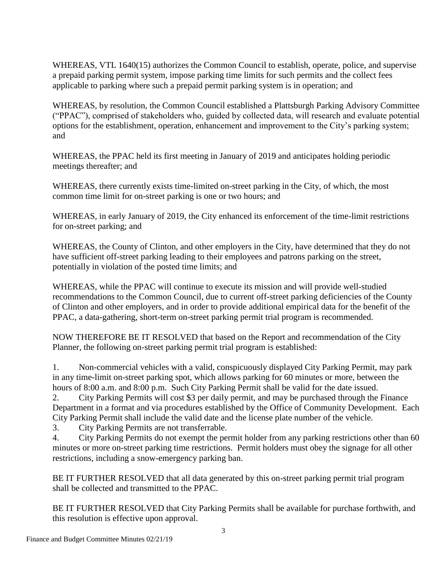WHEREAS, VTL 1640(15) authorizes the Common Council to establish, operate, police, and supervise a prepaid parking permit system, impose parking time limits for such permits and the collect fees applicable to parking where such a prepaid permit parking system is in operation; and

WHEREAS, by resolution, the Common Council established a Plattsburgh Parking Advisory Committee ("PPAC"), comprised of stakeholders who, guided by collected data, will research and evaluate potential options for the establishment, operation, enhancement and improvement to the City's parking system; and

WHEREAS, the PPAC held its first meeting in January of 2019 and anticipates holding periodic meetings thereafter; and

WHEREAS, there currently exists time-limited on-street parking in the City, of which, the most common time limit for on-street parking is one or two hours; and

WHEREAS, in early January of 2019, the City enhanced its enforcement of the time-limit restrictions for on-street parking; and

WHEREAS, the County of Clinton, and other employers in the City, have determined that they do not have sufficient off-street parking leading to their employees and patrons parking on the street, potentially in violation of the posted time limits; and

WHEREAS, while the PPAC will continue to execute its mission and will provide well-studied recommendations to the Common Council, due to current off-street parking deficiencies of the County of Clinton and other employers, and in order to provide additional empirical data for the benefit of the PPAC, a data-gathering, short-term on-street parking permit trial program is recommended.

NOW THEREFORE BE IT RESOLVED that based on the Report and recommendation of the City Planner, the following on-street parking permit trial program is established:

1. Non-commercial vehicles with a valid, conspicuously displayed City Parking Permit, may park in any time-limit on-street parking spot, which allows parking for 60 minutes or more, between the hours of 8:00 a.m. and 8:00 p.m. Such City Parking Permit shall be valid for the date issued.

2. City Parking Permits will cost \$3 per daily permit, and may be purchased through the Finance Department in a format and via procedures established by the Office of Community Development. Each City Parking Permit shall include the valid date and the license plate number of the vehicle.

3. City Parking Permits are not transferrable.

4. City Parking Permits do not exempt the permit holder from any parking restrictions other than 60 minutes or more on-street parking time restrictions. Permit holders must obey the signage for all other restrictions, including a snow-emergency parking ban.

BE IT FURTHER RESOLVED that all data generated by this on-street parking permit trial program shall be collected and transmitted to the PPAC.

BE IT FURTHER RESOLVED that City Parking Permits shall be available for purchase forthwith, and this resolution is effective upon approval.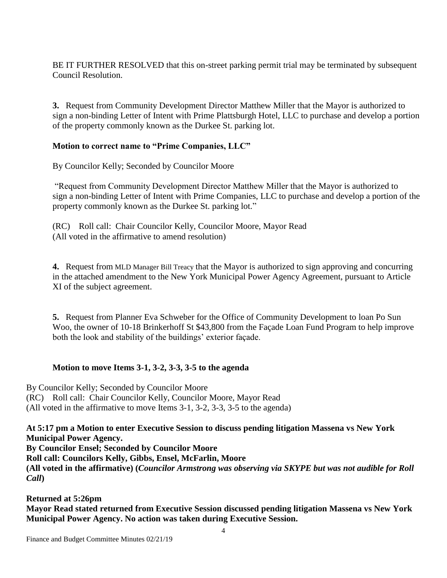BE IT FURTHER RESOLVED that this on-street parking permit trial may be terminated by subsequent Council Resolution.

**3.** Request from Community Development Director Matthew Miller that the Mayor is authorized to sign a non-binding Letter of Intent with Prime Plattsburgh Hotel, LLC to purchase and develop a portion of the property commonly known as the Durkee St. parking lot.

## **Motion to correct name to "Prime Companies, LLC"**

By Councilor Kelly; Seconded by Councilor Moore

"Request from Community Development Director Matthew Miller that the Mayor is authorized to sign a non-binding Letter of Intent with Prime Companies, LLC to purchase and develop a portion of the property commonly known as the Durkee St. parking lot."

(RC) Roll call: Chair Councilor Kelly, Councilor Moore, Mayor Read (All voted in the affirmative to amend resolution)

**4.** Request from MLD Manager Bill Treacy that the Mayor is authorized to sign approving and concurring in the attached amendment to the New York Municipal Power Agency Agreement, pursuant to Article XI of the subject agreement.

**5.** Request from Planner Eva Schweber for the Office of Community Development to loan Po Sun Woo, the owner of 10-18 Brinkerhoff St \$43,800 from the Façade Loan Fund Program to help improve both the look and stability of the buildings' exterior façade.

## **Motion to move Items 3-1, 3-2, 3-3, 3-5 to the agenda**

By Councilor Kelly; Seconded by Councilor Moore (RC) Roll call: Chair Councilor Kelly, Councilor Moore, Mayor Read (All voted in the affirmative to move Items 3-1, 3-2, 3-3, 3-5 to the agenda)

#### **At 5:17 pm a Motion to enter Executive Session to discuss pending litigation Massena vs New York Municipal Power Agency. By Councilor Ensel; Seconded by Councilor Moore Roll call: Councilors Kelly, Gibbs, Ensel, McFarlin, Moore**

**(All voted in the affirmative) (***Councilor Armstrong was observing via SKYPE but was not audible for Roll Call***)**

## **Returned at 5:26pm**

**Mayor Read stated returned from Executive Session discussed pending litigation Massena vs New York Municipal Power Agency. No action was taken during Executive Session.**